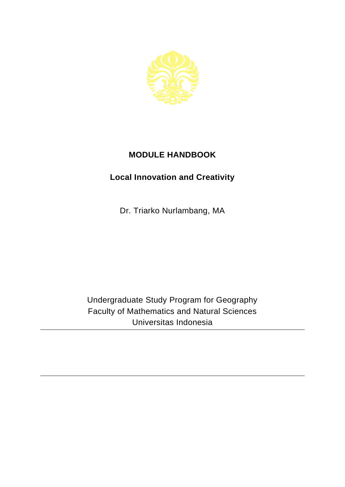

## **MODULE HANDBOOK**

## **Local Innovation and Creativity**

Dr. Triarko Nurlambang, MA

Undergraduate Study Program for Geography Faculty of Mathematics and Natural Sciences Universitas Indonesia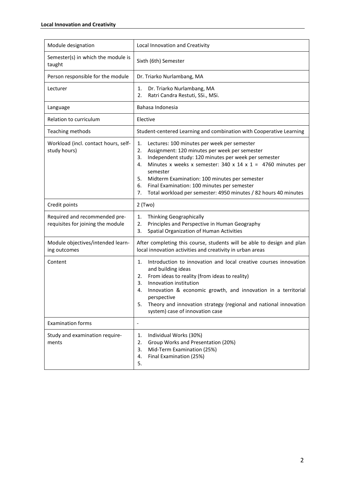| Module designation                                                 | Local Innovation and Creativity                                                                                                                                                                                                                                                                                                                                                                                                                          |
|--------------------------------------------------------------------|----------------------------------------------------------------------------------------------------------------------------------------------------------------------------------------------------------------------------------------------------------------------------------------------------------------------------------------------------------------------------------------------------------------------------------------------------------|
| Semester(s) in which the module is<br>taught                       | Sixth (6th) Semester                                                                                                                                                                                                                                                                                                                                                                                                                                     |
| Person responsible for the module                                  | Dr. Triarko Nurlambang, MA                                                                                                                                                                                                                                                                                                                                                                                                                               |
| Lecturer                                                           | Dr. Triarko Nurlambang, MA<br>1.<br>Ratri Candra Restuti, SSi., MSi.<br>2.                                                                                                                                                                                                                                                                                                                                                                               |
| Language                                                           | Bahasa Indonesia                                                                                                                                                                                                                                                                                                                                                                                                                                         |
| Relation to curriculum                                             | Elective                                                                                                                                                                                                                                                                                                                                                                                                                                                 |
| Teaching methods                                                   | Student-centered Learning and combination with Cooperative Learning                                                                                                                                                                                                                                                                                                                                                                                      |
| Workload (incl. contact hours, self-<br>study hours)               | Lectures: 100 minutes per week per semester<br>1.<br>Assignment: 120 minutes per week per semester<br>2.<br>Independent study: 120 minutes per week per semester<br>3.<br>Minutes x weeks x semester: $340 \times 14 \times 1 = 4760$ minutes per<br>4.<br>semester<br>5.<br>Midterm Examination: 100 minutes per semester<br>6.<br>Final Examination: 100 minutes per semester<br>Total workload per semester: 4950 minutes / 82 hours 40 minutes<br>7. |
| Credit points                                                      | $2$ (Two)                                                                                                                                                                                                                                                                                                                                                                                                                                                |
| Required and recommended pre-<br>requisites for joining the module | Thinking Geographically<br>1.<br>Principles and Perspective in Human Geography<br>2.<br>3.<br>Spatial Organization of Human Activities                                                                                                                                                                                                                                                                                                                   |
| Module objectives/intended learn-<br>ing outcomes                  | After completing this course, students will be able to design and plan<br>local innovation activities and creativity in urban areas                                                                                                                                                                                                                                                                                                                      |
| Content                                                            | Introduction to innovation and local creative courses innovation<br>1.<br>and building ideas<br>From ideas to reality (from ideas to reality)<br>2.<br>3.<br>Innovation institution<br>Innovation & economic growth, and innovation in a territorial<br>4.<br>perspective<br>Theory and innovation strategy (regional and national innovation<br>5.<br>system) case of innovation case                                                                   |
| <b>Examination forms</b>                                           | $\overline{\phantom{0}}$                                                                                                                                                                                                                                                                                                                                                                                                                                 |
| Study and examination require-<br>ments                            | Individual Works (30%)<br>1.<br>2.<br>Group Works and Presentation (20%)<br>3.<br>Mid-Term Examination (25%)<br>Final Examination (25%)<br>4.<br>5.                                                                                                                                                                                                                                                                                                      |